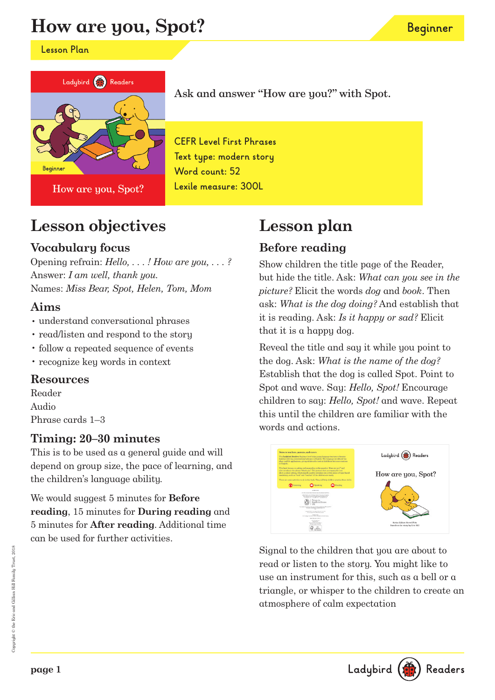# **How are you, Spot?**

**Lesson Plan**



How are you, Spot?

Ask and answer "How are you?" with Spot.

**CEFR Level First Phrases Text type: modern story Word count: 52 Lexile measure: 300L**

# **Lesson objectives**

### **Vocabulary focus**

Opening refrain: *Hello, . . . ! How are you, . . . ?* Answer: *I am well, thank you.* Names: *Miss Bear, Spot, Helen, Tom, Mom*

#### **Aims**

- understand conversational phrases
- read/listen and respond to the story
- follow a repeated sequence of events
- recognize key words in context

#### **Resources**

Reader Audio Phrase cards 1–3

### **Timing: 20–30 minutes**

This is to be used as a general guide and will depend on group size, the pace of learning, and the children's language ability.

We would suggest 5 minutes for **Before reading**, 15 minutes for **During reading** and 5 minutes for **After reading**. Additional time can be used for further activities.

# **Lesson plan**

## **Before reading**

Show children the title page of the Reader, but hide the title. Ask: *What can you see in the picture?* Elicit the words *dog* and *book*. Then ask: *What is the dog doing?* And establish that it is reading. Ask: *Is it happy or sad?* Elicit that it is a happy dog.

**Beginner**

Reveal the title and say it while you point to the dog. Ask: *What is the name of the dog?* Establish that the dog is called Spot. Point to Spot and wave. Say: *Hello, Spot!* Encourage children to say: *Hello, Spot!* and wave. Repeat this until the children are familiar with the words and actions.



Signal to the children that you are about to read or listen to the story. You might like to use an instrument for this, such as a bell or a triangle, or whisper to the children to create an atmosphere of calm expectation